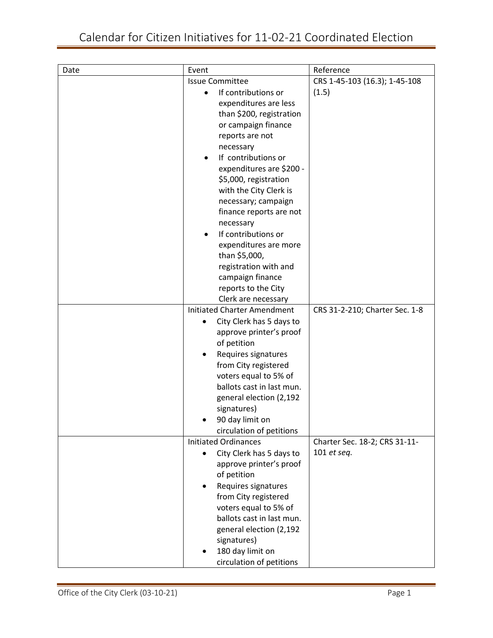| Date | Event                                     | Reference                      |
|------|-------------------------------------------|--------------------------------|
|      | <b>Issue Committee</b>                    | CRS 1-45-103 (16.3); 1-45-108  |
|      | If contributions or                       | (1.5)                          |
|      | expenditures are less                     |                                |
|      | than \$200, registration                  |                                |
|      | or campaign finance                       |                                |
|      | reports are not                           |                                |
|      | necessary                                 |                                |
|      | If contributions or                       |                                |
|      | expenditures are \$200 -                  |                                |
|      | \$5,000, registration                     |                                |
|      | with the City Clerk is                    |                                |
|      | necessary; campaign                       |                                |
|      | finance reports are not                   |                                |
|      | necessary                                 |                                |
|      | If contributions or<br>$\bullet$          |                                |
|      | expenditures are more                     |                                |
|      | than \$5,000,                             |                                |
|      | registration with and<br>campaign finance |                                |
|      | reports to the City                       |                                |
|      | Clerk are necessary                       |                                |
|      | <b>Initiated Charter Amendment</b>        | CRS 31-2-210; Charter Sec. 1-8 |
|      | City Clerk has 5 days to<br>$\bullet$     |                                |
|      | approve printer's proof                   |                                |
|      | of petition                               |                                |
|      | Requires signatures                       |                                |
|      | from City registered                      |                                |
|      | voters equal to 5% of                     |                                |
|      | ballots cast in last mun.                 |                                |
|      | general election (2,192                   |                                |
|      | signatures)                               |                                |
|      | 90 day limit on                           |                                |
|      | circulation of petitions                  |                                |
|      | <b>Initiated Ordinances</b>               | Charter Sec. 18-2; CRS 31-11-  |
|      | City Clerk has 5 days to<br>$\bullet$     | 101 et seq.                    |
|      | approve printer's proof                   |                                |
|      | of petition                               |                                |
|      | Requires signatures<br>٠                  |                                |
|      | from City registered                      |                                |
|      | voters equal to 5% of                     |                                |
|      | ballots cast in last mun.                 |                                |
|      | general election (2,192                   |                                |
|      | signatures)                               |                                |
|      | 180 day limit on                          |                                |
|      | circulation of petitions                  |                                |